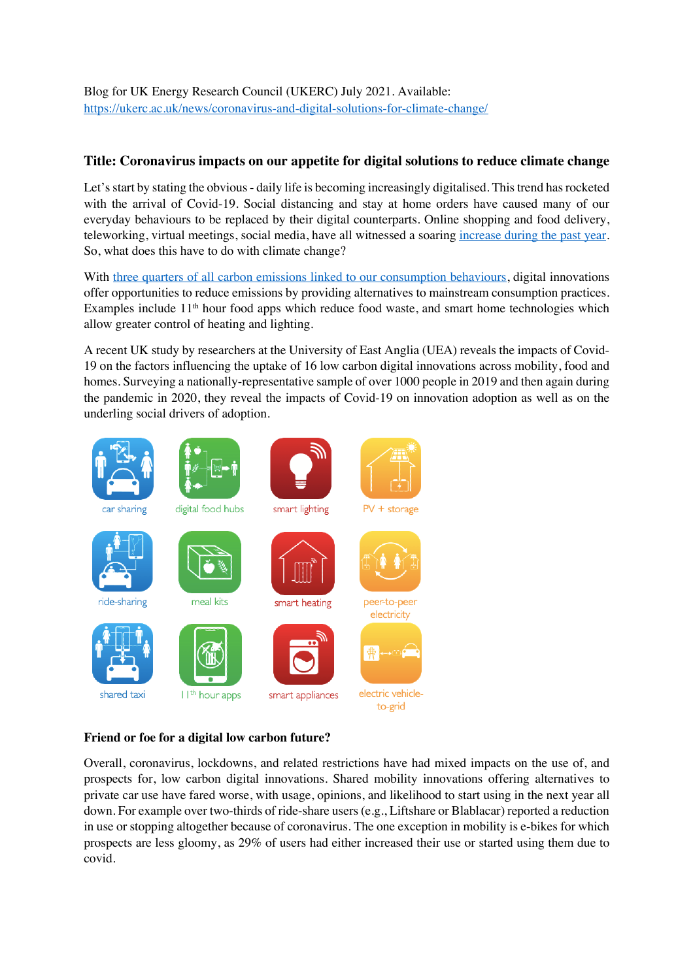Blog for UK Energy Research Council (UKERC) July 2021. Available: https://ukerc.ac.uk/news/coronavirus-and-digital-solutions-for-climate-change/

## **Title: Coronavirus impacts on our appetite for digital solutions to reduce climate change**

Let's start by stating the obvious - daily life is becoming increasingly digitalised. This trend has rocketed with the arrival of Covid-19. Social distancing and stay at home orders have caused many of our everyday behaviours to be replaced by their digital counterparts. Online shopping and food delivery, teleworking, virtual meetings, social media, have all witnessed a soaring increase during the past year. So, what does this have to do with climate change?

With three quarters of all carbon emissions linked to our consumption behaviours, digital innovations offer opportunities to reduce emissions by providing alternatives to mainstream consumption practices. Examples include 11<sup>th</sup> hour food apps which reduce food waste, and smart home technologies which allow greater control of heating and lighting.

A recent UK study by researchers at the University of East Anglia (UEA) reveals the impacts of Covid-19 on the factors influencing the uptake of 16 low carbon digital innovations across mobility, food and homes. Surveying a nationally-representative sample of over 1000 people in 2019 and then again during the pandemic in 2020, they reveal the impacts of Covid-19 on innovation adoption as well as on the underling social drivers of adoption.



## **Friend or foe for a digital low carbon future?**

Overall, coronavirus, lockdowns, and related restrictions have had mixed impacts on the use of, and prospects for, low carbon digital innovations. Shared mobility innovations offering alternatives to private car use have fared worse, with usage, opinions, and likelihood to start using in the next year all down. For example over two-thirds of ride-share users (e.g., Liftshare or Blablacar) reported a reduction in use or stopping altogether because of coronavirus. The one exception in mobility is e-bikes for which prospects are less gloomy, as 29% of users had either increased their use or started using them due to covid.